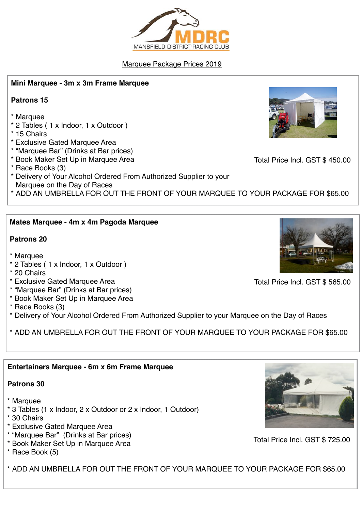## Marquee Package Prices 2019

### **Mini Marquee - 3m x 3m Frame Marquee**

### **Patrons 15**

- \* Marquee
- \* 2 Tables ( 1 x Indoor, 1 x Outdoor )
- \* 15 Chairs
- \* Exclusive Gated Marquee Area
- \* "Marquee Bar" (Drinks at Bar prices)
- \* Book Maker Set Up in Marquee Area
- \* Race Books (3)
- \* Delivery of Your Alcohol Ordered From Authorized Supplier to your Marquee on the Day of Races
- \* ADD AN UMBRELLA FOR OUT THE FRONT OF YOUR MARQUEE TO YOUR PACKAGE FOR \$65.00

### **Mates Marquee - 4m x 4m Pagoda Marquee**

### **Patrons 20**

- \* Marquee
- \* 2 Tables ( 1 x Indoor, 1 x Outdoor )
- \* 20 Chairs
- \* Exclusive Gated Marquee Area
- \* "Marquee Bar" (Drinks at Bar prices)
- \* Book Maker Set Up in Marquee Area
- \* Race Books (3)
- \* Delivery of Your Alcohol Ordered From Authorized Supplier to your Marquee on the Day of Races

\* ADD AN UMBRELLA FOR OUT THE FRONT OF YOUR MARQUEE TO YOUR PACKAGE FOR \$65.00

### **Entertainers Marquee - 6m x 6m Frame Marquee**

#### **Patrons 30**

- \* Marquee
- \* 3 Tables (1 x Indoor, 2 x Outdoor or 2 x Indoor, 1 Outdoor)
- \* 30 Chairs
- \* Exclusive Gated Marquee Area
- \* "Marquee Bar" (Drinks at Bar prices)
- \* Book Maker Set Up in Marquee Area
- \* Race Book (5)

\* ADD AN UMBRELLA FOR OUT THE FRONT OF YOUR MARQUEE TO YOUR PACKAGE FOR \$65.00



Total Price Incl. GST \$ 565.00



Total Price Incl. GST \$ 725.00



Total Price Incl. GST \$ 450.00